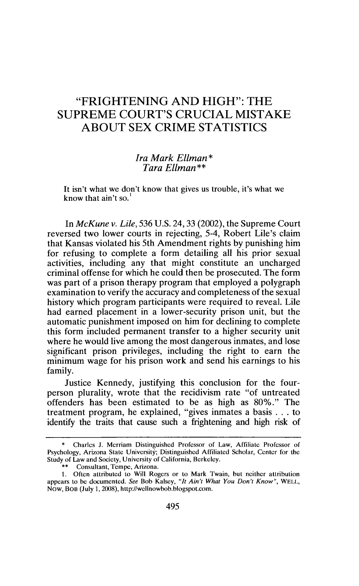## "FRIGHTENING AND HIGH": THE SUPREME COURT'S CRUCIAL MISTAKE ABOUT SEX CRIME STATISTICS

## *Ira Mark Ellman\* Tara Ellman\*\**

It isn't what we don't know that gives us trouble, it's what we know that ain't so.'

In *McKune v. Lile,* 536 U.S. 24,33 (2002), the Supreme Court reversed two lower courts in rejecting, 5-4, Robert Lile's claim that Kansas violated his 5th Amendment rights by punishing him for refusing to complete a form detailing all his prior sexual activities, including any that might constitute an uncharged criminal offense for which he could then be prosecuted. The form was part of a prison therapy program that employed a polygraph examination to verify the accuracy and completeness of the sexual history which program participants were required to reveal. Lile had earned placement in a lower-security prison unit, but the automatic punishment imposed on him for declining to complete this form included permanent transfer to a higher security unit where he would live among the most dangerous inmates, and lose significant prison privileges, including the right to earn the minimum wage for his prison work and send his earnings to his family.

Justice Kennedy, justifying this conclusion for the fourperson plurality, wrote that the recidivism rate "of untreated offenders has been estimated to be as high as 80%." The treatment program, he explained, "gives inmates a basis **...** to identify the traits that cause such a frightening and high risk of

<sup>\*</sup> Charles J. Merriam Distinguished Professor of Law, Affiliate Professor of Psychology, Arizona State University; Distinguished Affiliated Scholar, Center for the Study of Law and Society, University of California, Berkeley.

<sup>\*\*</sup> Consultant, Tempe, Arizona.

<sup>1.</sup> Often attributed to Will Rogers or to Mark Twain, but neither attribution appears to be documented. *See* Bob Kalsey, *"It Ain't What You Don't Know",* WELL, Now, BOB (July 1, 2008), http://wellnowbob.blogspot.com.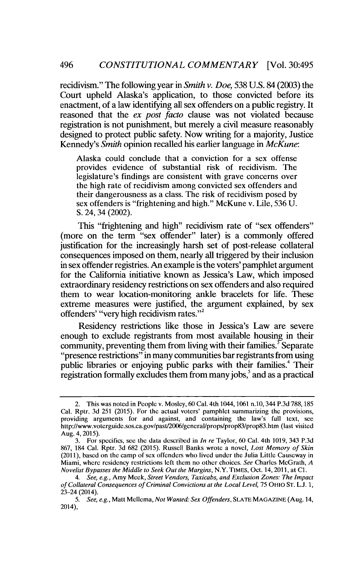recidivism." The following year in *Smith v. Doe,* 538 U.S. 84 (2003) the Court upheld Alaska's application, to those convicted before its enactment, of a law identifying all sex offenders on a public registry. It reasoned that the *ex post facto* clause was not violated because registration is not punishment, but merely a civil measure reasonably designed to protect public safety. Now writing for a majority, Justice Kennedy's *Smith* opinion recalled his earlier language in *McKune:*

Alaska could conclude that a conviction for a sex offense provides evidence of substantial risk of recidivism. The legislature's findings are consistent with grave concerns over the high rate of recidivism among convicted sex offenders and their dangerousness as a class. The risk of recidivism posed by sex offenders is "frightening and high." McKune v. Lile, 536 U. S. 24, 34 (2002).

This "frightening and high" recidivism rate of "sex offenders" (more on the term "sex offender" later) is a commonly offered justification for the increasingly harsh set of post-release collateral consequences imposed on them, nearly all triggered by their inclusion in sex offender registries. An example is the voters' pamphlet argument for the California initiative known as Jessica's Law, which imposed extraordinary residency restrictions on sex offenders and also required them to wear location-monitoring ankle bracelets for life. These extreme measures were justified, the argument explained, by sex offenders' "very high recidivism rates."<sup>2</sup>

Residency restrictions like those in Jessica's Law are severe enough to exclude registrants from most available housing in their community, preventing them from living with their families.<sup> $\tau$ </sup>Separate "presence restrictions" in many communities bar registrants from using public libraries or enjoying public parks with their families.<sup>4</sup> Their registration formally excludes them from many jobs, $5$  and as a practical

<sup>2.</sup> This was noted in People v. Mosley, 60 Cal. 4th 1044, 1061 n.10, 344 P.3d 788, 185 Cal. Rptr. 3d 251 (2015). For the actual voters' pamphlet summarizing the provisions, providing arguments for and against, and containing the law's full text, see http:/lwww.voterguide.sos.ca.govlpast/2006/general/props/prop83/prop83.htm (last visited Aug. 4, 2015).

<sup>3.</sup> For specifics, see the data described in *In re* Taylor, 60 Cal. 4th 1019, 343 P.3d 867, 184 Cal. Rptr. 3d 682 (2015). Russell Banks wrote a novel, *Lost Memory of Skin* (2011), based on the camp of sex offenders who lived under the Julia Little Causeway in Miami, where residency restrictions left them no other choices. *See* Charles McGrath, *A Novelist Bypasses the Middle to Seek Out the Margins,* N.Y. TIMES, Oct. 14, 2011, at **Cl.**

*<sup>4.</sup> See, e.g.,* Amy Meek, *Street Vendors, Taxicabs, and Exclusion Zones: The Impact of Collateral Consequences of Criminal Convictions at the Local Level,* 75 OHIO ST. L.J. 1, 23-24 (2014).

*<sup>5.</sup> See, e.g.,* Matt Mellema, *Not Wanted: Sex Offenders,* SLATE **MAGAZINE** (Aug. 14, 2014),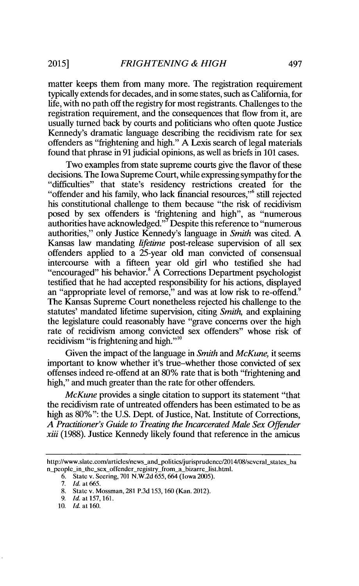**2015]**

matter keeps them from many more. The registration requirement typically extends for decades, and in some states, such as California, for life, with no path off the registry for most registrants. Challenges to the registration requirement, and the consequences that flow from it, are usually turned back by courts and politicians who often quote Justice Kennedy's dramatic language describing the recidivism rate for sex offenders as "frightening and high." A Lexis search of legal materials found that phrase in 91 judicial opinions, as well as briefs in 101 cases.

Two examples from state supreme courts give the flavor of these decisions. The Iowa Supreme Court, while expressing sympathy for the "difficulties" that state's residency restrictions created for the "offender and his family, who lack financial resources," still rejected his constitutional challenge to them because "the risk of recidivism posed by sex offenders is 'frightening and high", as "numerous authorities have acknowledged."<sup>7</sup> Despite this reference to "numerous authorities," only Justice Kennedy's language in *Smith* was cited. A Kansas law mandating *lifetime* post-release supervision of all sex offenders applied to a 25-year old man convicted of consensual intercourse with a fifteen year old girl who testified she had "encouraged" his behavior.<sup>8</sup> A Corrections Department psychologist testified that he had accepted responsibility for his actions, displayed an "appropriate level of remorse," and was at low risk to re-offend.<sup>9</sup> The Kansas Supreme Court nonetheless rejected his challenge to the statutes' mandated lifetime supervision, citing *Smith,* and explaining the legislature could reasonably have "grave concerns over the high rate of recidivism among convicted sex offenders" whose risk of recidivism "is frightening and high."<sup>10</sup>

Given the impact of the language in *Smith and McKune,* it seems important to know whether it's true-whether those convicted of sex offenses indeed re-offend at an 80% rate that is both "frightening and high," and much greater than the rate for other offenders.

*McKune* provides a single citation to support its statement "that the recidivism rate of untreated offenders has been estimated to be as high as 80%": the U.S. Dept. of Justice, Nat. Institute of Corrections, *A Practitioner's Guide to Treating the Incarcerated Male Sex Offender xiii* (1988). Justice Kennedy likely found that reference in the amicus

http://www.slate.com/articles/news and-politics/jurisprudence/2014/08/several-states ba n\_people\_in\_the\_sex\_offender\_registry\_from\_a\_bizarre\_list.html.

<sup>6.</sup> State v. Seering, 701 N.W.2d 655, 664 (Iowa 2005).

<sup>7.</sup> *Id.* at 665.

<sup>8.</sup> State v. Mossman, 281 P.3d 153, 160 (Kan. 2012).

<sup>9.</sup> **Id.** at 157, 161.

<sup>10.</sup> *Id.* at **160.**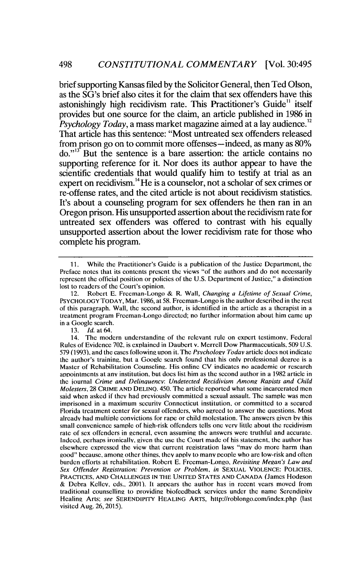brief supporting Kansas filed by the Solicitor General, then Ted Olson, as the SG's brief also cites it for the claim that sex offenders have this astonishingly high recidivism rate. This Practitioner's Guide<sup>11</sup> itself provides but one source for the claim, an article published in 1986 in *Psychology Today,* a mass market magazine aimed at a lay audience." That article has this sentence: "Most untreated sex offenders released from prison go on to commit more offenses-indeed, as many as 80%  $\text{do.}^{\prime\prime}$  But the sentence is a bare assertion: the article contains no supporting reference for it. Nor does its author appear to have the scientific credentials that would qualify him to testify at trial as an expert on recidivism.<sup>14</sup>He is a counselor, not a scholar of sex crimes or re-offense rates, and the cited article is not about recidivism statistics. It's about a counseling program for sex offenders he then ran in an Oregon prison. His unsupported assertion about the recidivism rate for untreated sex offenders was offered to contrast with his equally unsupported assertion about the lower recidivism rate for those who complete his program.

## 13. *Id.* at 64.

**<sup>11.</sup>** While the Practitioner's Guide is a publication of the Justice Department, the Preface notes that its contents present the views "of the authors and do not necessarily represent the official position or policies of the U.S. Department of Justice," a distinction lost to readers of the Court's opinion.

<sup>12.</sup> Robert E. Freeman-Longo & R. Wall, *Changing a Lifetime of Sexual Crime,* PSYCHOLOGY TODAY, Mar. 1986, at 58. Freeman-Longo is the author described in the rest of this paragraph. Wall, the second author, is identified in the article as a therapist in a treatment program Freeman-Longo directed; no further information about him came up in a Google search.

<sup>14.</sup> The modem understandinp of the relevant rule on expert testimony, Federal Rules of Evidence 702, is explained in Daubert v. Merrell Dow Pharmaceuticals, 509 U.S. 579 (1993), and the cases following upon it. The *Psychology Today* article does not indicate the author's training, but a Google search found that his only professional degree is a Master of Rehabilitation Counseling. His online CV indicates no academic or research appointments at any institution, but does list him as the second author in a 1982 article in the iournal *Crime and Delinquencv: Undetected Recidivism Amonz Rapists and Child Molesters,* 28 CRIME **AND DELINO.** 450. The article reported what some incarcerated men said when asked if they had previously committed a sexual assault. The sample was men imprisoned in a maximum security Connecticut institution, or committed to a secured Florida treatment center for sexual offenders, who agreed to answer the questions. Most already had multiple convictions for rape or child molestation. The answers given by this small convenience sample of high-risk offenders tells one very little about the recidivism rate of sex offenders in general, even assuming the answers were truthful and accurate. Indeed, perhaps ironically, given the use the Court made of his statement, the author has elsewhere expressed the view that current registration laws "may do more harm than good" because, among other things, they apply to many people who are low-risk and often burden efforts at rehabilitation. Robert E. Freeman-Longo. *Revisiting Megan's Law and Sex Offender Registration: Prevention or Problem, in* SEXUAL VIOLENCE: **POLICIES,** PRACTICES, **AND CHALLENGES IN** THE UNITED **STATES AND CANADA** (James Hodgson & Debra Kelley, eds., 2001). It appears the author has in recent years moved from traditional counsellinp to providing biofeedback services under the name Serendipity Healing Arts; *see* SERENDIPITY **HEALING** ARTS, http://roblongo.com/index.php (last visited Aug. 26, 2015).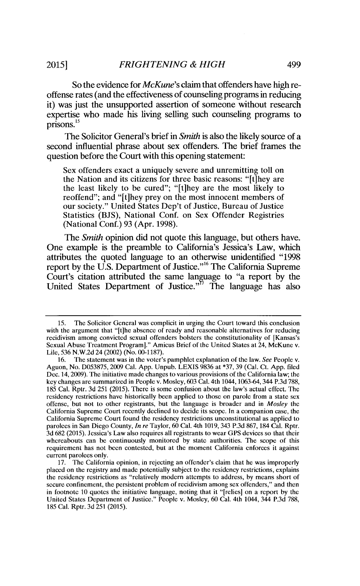So the evidence for *McKune's* claim that offenders have high reoffense rates (and the effectiveness of counseling programs in reducing it) was just the unsupported assertion of someone without research expertise who made his living selling such counseling programs to prisons.<sup>15</sup>

The Solicitor General's brief in *Smith* is also the likely source of a second influential phrase about sex offenders. The brief frames the question before the Court with this opening statement:

Sex offenders exact a uniquely severe and unremitting toll on the Nation and its citizens for three basic reasons: "[t]hey are the least likely to be cured"; "[tihey are the most likely to reoffend"; and "[tihey prey on the most innocent members of our society." United States Dep't of Justice, Bureau of Justice Statistics (BJS), National Conf. on Sex Offender Registries (National Conf.) 93 (Apr. 1998).

*The Smith* opinion did not quote this language, but others have. One example is the preamble to California's Jessica's Law, which attributes the quoted language to an otherwise unidentified **"1998** report by the U.S. Department of Justice."" The California Supreme Court's citation attributed the same language to "a report by the United States Department of Justice."<sup>17</sup> The language has also

<sup>15.</sup> The Solicitor General was complicit in urging the Court toward this conclusion with the argument that "[t]he absence of ready and reasonable alternatives for reducing recidivism among convicted sexual offenders bolsters the constitutionality of [Kansas's Sexual Abuse Treatment Program]." Amicus Brief of the United States at 24, McKune v. Lile, 536 N.W.2d 24 (2002) (No. 00-1187).

<sup>16.</sup> The statement was in the voter's pamphlet explanation of the law. *See* People v. Aguon, No. D053875, 2009 Cal. App. Unpub. LEXIS 9836 at \*37, 39 (Cal. Ct. App. filed Dec. 14, 2009). The initiative made changes to various provisions of the California law; the key changes are summarized in People v. Mosley, 603 Cal. 4th 1044, 1063-64, 344 P.3d 788, 185 Cal. Rptr. 3d 251 (2015). There is some confusion about the law's actual effect. The residency restrictions have historically been applied to those on parole from a state sex offense, but not to other registrants, but the language is broader and in *Mosley* the California Supreme Court recently declined to decide its scope. In a companion case, the California Supreme Court found the residency restrictions unconstitutional as applied to parolees in San Diego County, In *re* Taylor, 60 Cal. 4th 1019, 343 P.3d 867, 184 Cal. Rptr. 3d 682 (2015). Jessica's Law also requires all registrants to wear GPS devices so that their whereabouts can be continuously monitored by state authorities. The scope of this requirement has not been contested, but at the moment California enforces it against current parolees only.

<sup>17.</sup> The California opinion, in rejecting an offender's claim that he was improperly placed on the registry and made potentially subject to the residency restrictions, explains the residency restrictions as "relatively modern attempts to address, by means short of secure confinement, the persistent problem of recidivism among sex offenders," and then in footnote 10 quotes the initiative language, noting that it "[relies] on a report by the United States Department of Justice." People v. Mosley, 60 Cal. 4th 1044, 344 P.3d 788, 185 Cal. Rptr. 3d 251 (2015).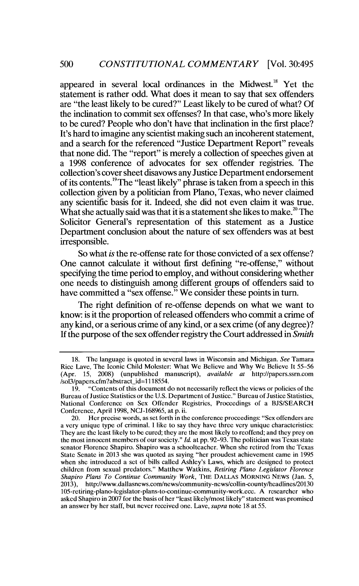appeared in several local ordinances in the Midwest.<sup>18</sup> Yet the statement is rather odd. What does it mean to say that sex offenders are "the least likely to be cured?" Least likely to be cured of what? Of the inclination to commit sex offenses? In that case, who's more likely to be cured? People who don't have that inclination in the first place? It's hard to imagine any scientist making such an incoherent statement, and a search for the referenced "Justice Department Report" reveals that none did. The "report" is merely a collection of speeches given at a 1998 conference of advocates for sex offender registries. The collection's cover sheet disavows any Justice Department endorsement of its contents.<sup>19</sup>The "least likely" phrase is taken from a speech in this collection given by a politician from Plano, Texas, who never claimed any scientific basis for it. Indeed, she did not even claim it was true. What she actually said was that it is a statement she likes to make.<sup>20</sup> The Solicitor General's representation of this statement as a Justice Department conclusion about the nature of sex offenders was at best irresponsible.

So what *is* the re-offense rate for those convicted of a sex offense? One cannot calculate it without first defining "re-offense," without specifying the time period to employ, and without considering whether one needs to distinguish among different groups of offenders said to have committed a "sex offense." We consider these points in turn.

The right definition of re-offense depends on what we want to know: is it the proportion of released offenders who commit a crime of any kind, or a serious crime of any kind, or a sex crime (of any degree)? If the purpose of the sex offender registry the Court addressed in *Smith*

<sup>18.</sup> The language is quoted in several laws in Wisconsin and Michigan. *See* Tamara Rice Lave, The Iconic Child Molester: What We Believe and Why We Believe It 55-56 (Apr. 15, 2008) (unpublished manuscript), *available at* http://papers.ssm.com /sol3/papers.cfm?abstract id= 118554.

<sup>19. &</sup>quot;Contents of this document do not necessarily reflect the views or policies of the Bureau of Justice Statistics or the U.S. Department of Justice." Bureau of Justice Statistics, National Conference on Sex Offender Registries, Proceedings of a BJS/SEARCH Conference, April 1998, NCJ-168965, at p. ii.

<sup>20.</sup> Her precise words, as set forth in the conference proceedings: "Sex offenders are a very unique type of criminal. I like to say they have three very unique characteristics: They are the least likely to be cured; they are the most likely to reoffend; and they prey on the most innocent members of our society." *Id.* at pp. 92-93. The politician was Texas state senator Florence Shapiro. Shapiro was a schoolteacher. When she retired from the Texas State Senate in 2013 she was quoted as saying "her proudest achievement came in 1995 when she introduced a set of bills called Ashley's Laws, which are designed to protect children from sexual predators." Matthew Watkins, *Retiring Plano Legislator Florence Shapiro Plans To Continue Community Work,* THE DALLAS MORNING NEWS (Jan. 5, 2013), http://www.dallasnews.com/news/community-news/collin-county/headlines/20130 105-retiring-plano-legislator-plans-to-continue-community-work.ece. A researcher who asked Shapiro in 2007 for the basis of her "least likely/most likely" statement was promised an answer by her staff, but never received one. Lave, *supra* note 18 at 55.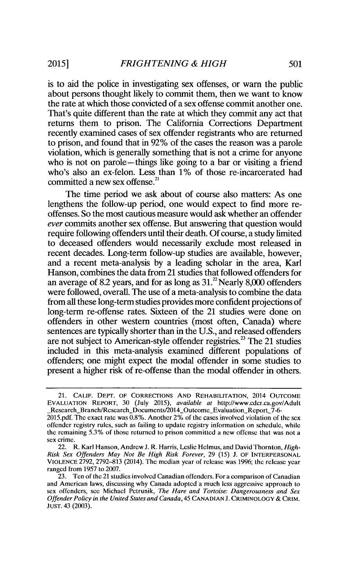is to aid the police in investigating sex offenses, or warn the public about persons thought likely to commit them, then we want to know the rate at which those convicted of a sex offense commit another one. That's quite different than the rate at which they commit any act that returns them to prison. The California Corrections Department recently examined cases of sex offender registrants who are returned to prison, and found that in 92% of the cases the reason was a parole violation, which is generally something that is not a crime for anyone who is not on parole—things like going to a bar or visiting a friend who's also an ex-felon. Less than 1% of those re-incarcerated had committed a new sex offense.<sup>21</sup>

The time period we ask about of course also matters: As one lengthens the follow-up period, one would expect to find more reoffenses. So the most cautious measure would ask whether an offender *ever* commits another sex offense. But answering that question would require following offenders until their death. Of course, a study limited to deceased offenders would necessarily exclude most released in recent decades. Long-term follow-up studies are available, however, and a recent meta-analysis by a leading scholar in the area, Karl Hanson, combines the data from 21 studies that followed offenders for an average of 8.2 years, and for as long as  $31<sup>22</sup>$  Nearly 8,000 offenders were followed, overall. The use of a meta-analysis to combine the data from all these long-term studies provides more confident projections of long-term re-offense rates. Sixteen of the 21 studies were done on offenders in other western countries (most often, Canada) where sentences are typically shorter than in the U.S., and released offenders are not subject to American-style offender registries.<sup>23</sup> The 21 studies included in this meta-analysis examined different populations of offenders; one might expect the modal offender in some studies to present a higher risk of re-offense than the modal offender in others.

<sup>21.</sup> CALIF. DEPT. OF CORRECTIONS **AND** REHABILITATION, 2014 **OUTCOME EVALUATION** REPORT, 30 (July 2015), *available* at http://www.cdcr.ca.gov/Adult Research\_Branch/Research\_Documents/2014\_Outcome\_Evaluation\_Report\_7-6

<sup>2015.</sup>pdf. The exact rate was  $0.8\%$ . Another 2% of the cases involved violation of the sex offender registry rules, such as failing to update registry information on schedule, while the remaining 5.3% of those returned to prison committed a new offense that was not a sex crime.

<sup>22.</sup> R. Karl Hanson, Andrew J. R. Harris, Leslie Helmus, and David Thornton, *High-Risk Sex Offenders May Not Be High Risk Forever,* 29 (15) J. OF INTERPERSONAL **VIOLENCE** 2792, 2792-813 (2014). The median year of release was 1996; the release year ranged from 1957 to 2007.

<sup>23.</sup> Ten of the 21 studies involved Canadian offenders. For a comparison of Canadian and American laws, discussing why Canada adopted a much less aggressive approach to sex offenders, see Michael Petrunik, *The Hare and Tortoise: Dangerousness and Sex* Offender *Policy in the United States and Canada,* 45 **CANADIAN** J. CRIMINOLOGY & CRIM. **JUST.** 43 (2003).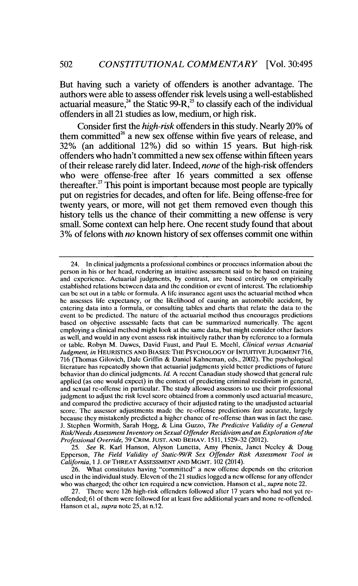But having such a variety of offenders is another advantage. The authors were able to assess offender risk levels using a well-established actuarial measure,<sup>24</sup> the Static 99-R,<sup>25</sup> to classify each of the individual offenders in all 21 studies as low, medium, or high risk.

Consider first the *high-risk* offenders in this study. Nearly 20% of them committed<sup> $26$ </sup> a new sex offense within five years of release, and 32% (an additional 12%) did so within 15 years. But high-risk offenders who hadn't committed a new sex offense within fifteen years of their release rarely did later. Indeed, *none* of the high-risk offenders who were offense-free after 16 years committed a sex offense thereafter.<sup>27</sup> This point is important because most people are typically put on registries for decades, and often for life. Being offense-free for twenty years, or more, will not get them removed even though this history tells us the chance of their committing a new offense is very small. Some context can help here. One recent study found that about 3% of felons with *no* known history of sex offenses commit one within

25. *See* R. Karl Hanson, Alyson Lunetta, Amy Phenix, Janet Neeley & Doug Epperson, *The Field Validity of Static-99/R Sex Offender Risk Assessment Tool in California, 1* J. OF THREAT **ASSESSMENT AND** MGMT. 102 (2014).

26. What constitutes having "committed" a new offense depends on the criterion used in the individual study. Eleven of the 21 studies logged a new offense for any offender who was charged; the other ten required a new conviction. Hanson et al., *supra* note 22.

27. There were 126 high-risk offenders followed after 17 years who had not yet reoffended; 61 of them were followed for at least five additional years and none re-offended. Hanson et al., *supra* note 25, at n.12.

<sup>24.</sup> In clinical judgments a professional combines or processes information about the person in his or her head, rendering an intuitive assessment said to be based on training and experience. Actuarial judgments, by contrast, are based entirely on empirically established relations between data and the condition or event of interest. The relationship can be set out in a table or formula. A life insurance agent uses the actuarial method when he assesses life expectancy, or the likelihood of causing an automobile accident, by entering data into a formula, or consulting tables and charts that relate the data to the event to be predicted. The nature of the actuarial method thus encourages predictions based on objective assessable facts that can be summarized numerically. The agent employing a clinical method might look at the same data, but might consider other factors as well, and would in any event assess risk intuitively rather than by reference to a formula or table. Robyn M. Dawes, David Faust, and Paul E. Meehl, *Clinical versus Actuarial Judgment, in* **HEURISTICS AND BIASES:** THE PSYCHOLOGY OF **INTUITIVE JUDGMENT** 716, 716 (Thomas Gilovich, Dale Griffin & Daniel Kahneman, eds., 2002). The psychological literature has repeatedly shown that actuarial judgments yield better predictions of future behavior than do clinical judgments. *Id.* A recent Canadian study showed that general rule applied (as one would expect) in the context of predicting criminal recidivism in general, and sexual re-offense in particular. The study allowed assessors to use their professional judgment to adjust the risk level score obtained from a commonly used actuarial measure, and compared the predictive accuracy of their adjusted rating to the unadjusted actuarial score. The assessor adjustments made the re-offense predictions *less* accurate, largely because they mistakenly predicted a higher chance of re-offense than was in fact the case. J. Stephen Wormith, Sarah Hogg, & Lina Guzzo, *The Predictive Validity of a General Risk/Needs Assessment Inventory on Sexual Offender Recidivism and an Exploration of the Professional Override,* 39 CRIM. **JUST. AND** BEHAV. 1511,1529-32 (2012).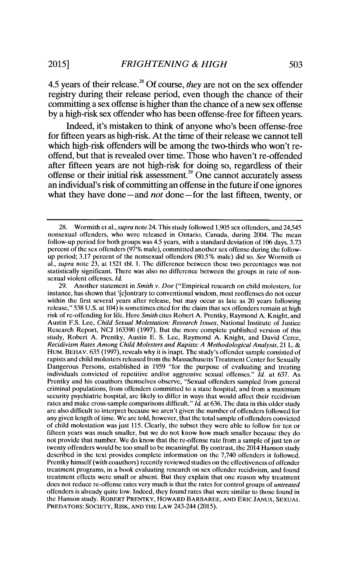4.5 years of their release.<sup>28</sup> Of course, *they* are not on the sex offender registry during their release period, even though the chance of their committing a sex offense is higher than the chance of a new sex offense by a high-risk sex offender who has been offense-free for fifteen years.

Indeed, it's mistaken to think of anyone who's been offense-free for fifteen years as high-risk. At the time of their release we cannot tell which high-risk offenders will be among the two-thirds who won't reoffend, but that is revealed over time. Those who haven't re-offended after fifteen years are not high-risk for doing so, regardless of their offense or their initial risk assessment.<sup>29</sup> One cannot accurately assess an individual's risk of committing an offense in the future if one ignores what they have done-and *not* done-for the last fifteen, twenty, or

<sup>28.</sup> Wormith et al., supra note 24. This study followed 1,905 sex offenders, and 24,545 nonsexual offenders, who were released in Ontario, Canada, during 2004. The mean follow-up period for both groups was 4.5 years, with a standard deviation of 106 days. 3.73 percent of the sex offenders (97% male), committed another sex offense during the followup period; 3.17 percent of the nonsexual offenders (80.5% male) did so. *See* Wormith et al., *supra* note 23, at 1521 tbl. **1.** The difference between these two percentages was not statistically significant. There was also no difference between the groups in rate of nonsexual violent offenses. *Id.*

<sup>29.</sup> Another statement in *Smith v. Doe* ("Empirical research on child molesters, for instance, has shown that '[c]ontrary to conventional wisdom, most reoffenses do not occur within the first several years after release, but may occur as late as 20 years following release," 538 U.S. at 104) is sometimes cited for the claim that sex offenders remain at high risk of re-offending for life. Here *Smith* cites Robert A. Prentky, Raymond A. Knight, and Austin F.S. Lee, *Child Sexual Molestation: Research Issues,* National Institute of Justice Research Report, NCJ 163390 (1997). But the more complete published version of this study, Robert A. Prentky, Austin E. S. Lee, Raymond **A.** Knight, and David Cerce, *Recidivism Rates Among Child Molesters and Rapists: A Methodological Analysis,* 21 L. & HUM. BEHAV. 635 (1997), reveals why it is inapt. The study's offender sample consisted of rapists and child molesters released from the Massachusetts Treatment Center for Sexually Dangerous Persons, established in 1959 "for the purpose of evaluating and treating individuals convicted of repetitive and/or aggressive sexual offenses." *Id.* at 637. As Prentky and his coauthors themselves observe, "Sexual offenders sampled from general criminal populations, from offenders committed to a state hospital, and from a maximum security psychiatric hospital, are likely to differ in ways that would affect their recidivism rates and make cross-sample comparisons difficult." *Id.* at 636. The data in this older study are also difficult to interpret because we aren't given the number of offenders followed for any given length of time. We are told, however, that the total sample of offenders convicted of child molestation was just 115. Clearly, the subset they were able to follow for ten or fifteen years was much smaller, but we do not know how much smaller because they do not provide that number. We do know that the re-offense rate from a sample of just ten or twenty offenders would be too small to be meaningful. By contrast, the 2014 Hanson study described in the text provides complete information on the 7,740 offenders it followed. Prentky himself (with coauthors) recently reviewed studies on the effectiveness of offender treatment programs, in a book evaluating research on sex offender recidivism, and found treatment effects were small or absent. But they explain that one reason why treatment does not reduce re-offense rates very much is that the rates for control groups of *untreated* offenders is already quite low. Indeed, they found rates that were similar to those found in the Hanson study. ROBERT PRENTKY, HOWARD BARBAREE, **AND ERIC JANUS, SEXUAL** PREDATORS: SOCIETY, RISK, **AND THE** LAW 243-244 (2015).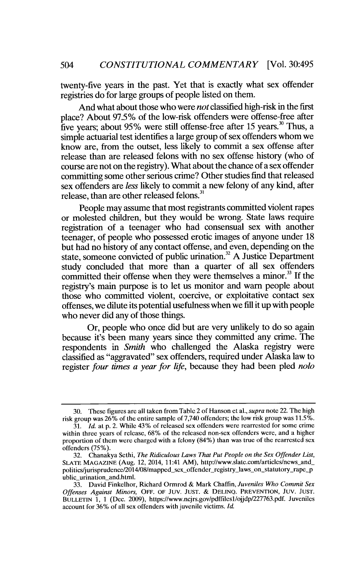twenty-five years in the past. Yet that is exactly what sex offender registries do for large groups of people listed on them.

And what about those who were *not* classified high-risk in the first place? About 97.5% of the low-risk offenders were offense-free after five years; about 95% were still offense-free after 15 years.<sup>30</sup> Thus, a simple actuarial test identifies a large group of sex offenders whom we know are, from the outset, less likely to commit a sex offense after release than are released felons with no sex offense history (who of course are not on the registry). What about the chance of a sex offender committing some other serious crime? Other studies find that released sex offenders are *less* likely to commit a new felony of any kind, after release, than are other released felons. $31$ 

People may assume that most registrants committed violent rapes or molested children, but they would be wrong. State laws require registration of a teenager who had consensual sex with another teenager, of people who possessed erotic images of anyone under 18 but had no history of any contact offense, and even, depending on the state, someone convicted of public urination.<sup>32</sup> A Justice Department study concluded that more than a quarter of all sex offenders committed their offense when they were themselves a minor.<sup>33</sup> If the registry's main purpose is to let us monitor and warn people about those who committed violent, coercive, or exploitative contact sex offenses, we dilute its potential usefulness when we fill it up with people who never did any of those things.

Or, people who once did but are very unlikely to do so again because it's been many years since they committed any crime. The respondents in *Smith* who challenged the Alaska registry were classified as "aggravated" sex offenders, required under Alaska law to register *four times a year for life,* because they had been pled *nolo*

<sup>30.</sup> These figures are all taken from Table 2 of Hanson et al., *supra* note 22. The high risk group was 26% of the entire sample of 7,740 offenders; the low risk group was 11.5%.

<sup>31.</sup> *Id.* at p. 2. While 43% of released sex offenders were rearrested for some crime within three years of release, 68% of the released non-sex offenders were, and a higher proportion of them were charged with a felony (84%) than was true of the rearrested sex offenders (75%).

<sup>32.</sup> Chanakya Sethi, *The Ridiculous Laws That Put People on the Sex Offender List,* SLATE MAGAZINE (Aug. 12, 2014, 11:41 AM), http://www.slate.com/articles/news\_and\_ politics/jurisprudence/2014/08/mapped\_sex\_offender\_registry\_laws\_on\_statutory\_rape\_p ublic urination and.html.

<sup>33.</sup> David Finkelhor, Richard Ormrod & Mark Chaffin, *Juveniles Who Commit Sex Offenses Against Minors,* OFF. OF JUV. **JUST.** & DELINQ. PREVENTION, **JUV. JUST. BULLETIN** 1, 1 (Dec. 2009), https://www.ncjrs.gov/pdffilesl/ojjdp/227763.pdf. Juveniles account for 36% of all sex offenders with juvenile victims. *Id.*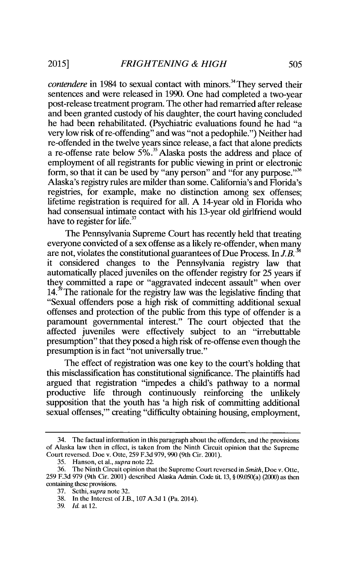*contendere* in 1984 to sexual contact with minors.<sup>34</sup> They served their sentences and were released in 1990. One had completed a two-year post-release treatment program. The other had remarried after release and been granted custody of his daughter, the court having concluded he had been rehabilitated. (Psychiatric evaluations found he had "a very low risk of re-offending" and was "not a pedophile.") Neither had re-offended in the twelve years since release, a fact that alone predicts a re-offense rate below 5% **. <sup>5</sup>**Alaska posts the address and place of employment of all registrants for public viewing in print or electronic form, so that it can be used by "any person" and "for any purpose."<sup>36</sup> Alaska's registry rules are milder than some. California's and Florida's registries, for example, make no distinction among sex offenses; lifetime registration is required for all. A 14-year old in Florida who had consensual intimate contact with his 13-year old girlfriend would have to register for life.<sup>37</sup>

The Pennsylvania Supreme Court has recently held that treating everyone convicted of a sex offense as a likely re-offender, when many are not, violates the constitutional guarantees of Due Process. In  $J.B.^{38}$ it considered changes to the Pennsylvania registry law that automatically placed juveniles on the offender registry for 25 years if they committed a rape or "aggravated indecent assault" when over  $14<sup>39</sup>$  The rationale for the registry law was the legislative finding that "Sexual offenders pose a high risk of committing additional sexual offenses and protection of the public from this type of offender is a paramount governmental interest." The court objected that the affected juveniles were effectively subject to an "irrebuttable presumption" that they posed a high risk of re-offense even though the presumption is in fact "not universally true."

The effect of registration was one key to the court's holding that this misclassification has constitutional significance. The plaintiffs had argued that registration "impedes a child's pathway to a normal productive life through continuously reinforcing the unlikely supposition that the youth has 'a high risk of committing additional sexual offenses,"' creating "difficulty obtaining housing, employment,

<sup>34.</sup> The factual information in this paragraph about the offenders, and the provisions of Alaska law then in effect, is taken from the Ninth Circuit opinion that the Supreme Court reversed. Doe v. Otte, 259 F.3d 979, 990 (9th Cir. 2001).

<sup>35.</sup> Hanson, et al., supra note 22.

<sup>36.</sup> The Ninth Circuit opinion that the Supreme Court reversed in *Smith,* Doe v. Otte, 259 F.3d 979 (9th Cir. 2001) described Alaska Admin. Code fit. 13, § 09.050(a) (2000) as then containing these provisions.

<sup>37.</sup> Sethi, *supra* note 32.

<sup>38.</sup> In the Interest of J.B., 107 A.3d 1 (Pa. 2014).

<sup>39.</sup> *Id.* at 12.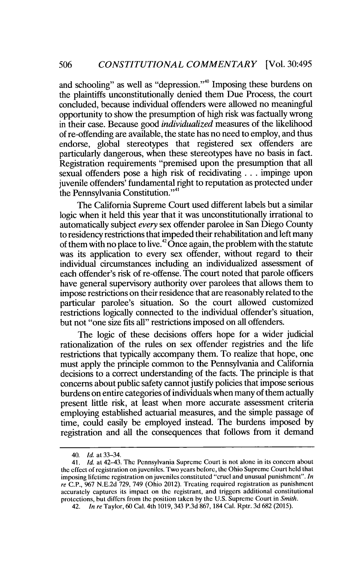and schooling" as well as "depression."<sup>40</sup> Imposing these burdens on the plaintiffs unconstitutionally denied them Due Process, the court concluded, because individual offenders were allowed no meaningful opportunity to show the presumption of high risk was factually wrong in their case. Because good *individualized* measures of the likelihood of re-offending are available, the state has no need to employ, and thus endorse, global stereotypes that registered sex offenders are particularly dangerous, when these stereotypes have no basis in fact. Registration requirements "premised upon the presumption that all sexual offenders pose a high risk of recidivating... impinge upon juvenile offenders' fundamental right to reputation as protected under the Pennsylvania Constitution."<sup>41</sup>

The California Supreme Court used different labels but a similar logic when it held this year that it was unconstitutionally irrational to automatically subject *every* sex offender parolee in San Diego County to residency restrictions that impeded their rehabilitation and left many of them with no place to live.<sup>42</sup> Once again, the problem with the statute was its application to every sex offender, without regard to their individual circumstances including an individualized assessment of each offender's risk of re-offense. The court noted that parole officers have general supervisory authority over parolees that allows them to impose restrictions on their residence that are reasonably related to the particular parolee's situation. So the court allowed customized restrictions logically connected to the individual offender's situation, but not "one size fits all" restrictions imposed on all offenders.

The logic of these decisions offers hope for a wider judicial rationalization of the rules on sex offender registries and the life restrictions that typically accompany them. To realize that hope, one must apply the principle common to the Pennsylvania and California decisions to a correct understanding of the facts. The principle is that concerns about public safety cannot justify policies that impose serious burdens on entire categories of individuals when many of them actually present little risk, at least when more accurate assessment criteria employing established actuarial measures, and the simple passage of time, could easily be employed instead. The burdens imposed by registration and all the consequences that follows from it demand

<sup>40.</sup> *Id.* at 33-34.

<sup>41.</sup> *Id.* at 42-43. The Pennsylvania Supreme Court is not alone in its concern about the effect of registration on juveniles. Two years before, the Ohio Supreme Court held that imposing lifetime registration on juveniles constituted "cruel and unusual punishment". *In re* C.P., 967 N.E.2d 729, 749 (Ohio 2012). Treating required registration as punishment accurately captures its impact on the registrant, and triggers additional constitutional protections, but differs from the position taken by the U.S. Supreme Court in *Smith.*

<sup>42.</sup> *In re* Taylor, 60 Cal. 4th 1019, 343 P.3d 867, 184 Cal. Rptr. 3d 682 (2015).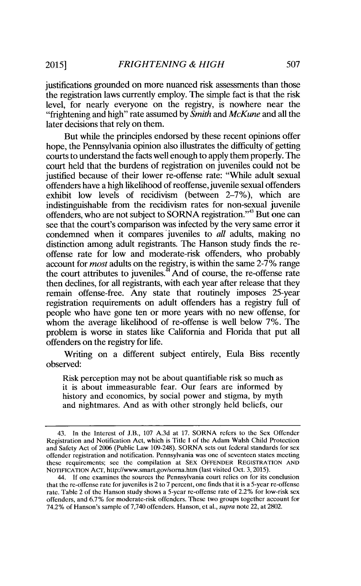justifications grounded on more nuanced risk assessments than those the registration laws currently employ. The simple fact is that the risk level, for nearly everyone on the registry, is nowhere near the "frightening and high" rate assumed by *Smith and McKune* and all the later decisions that rely on them.

But while the principles endorsed by these recent opinions offer hope, the Pennsylvania opinion also illustrates the difficulty of getting courts to understand the facts well enough to apply them properly. The court held that the burdens of registration on juveniles could not be justified because of their lower re-offense rate: "While adult sexual offenders have a high likelihood of reoffense, juvenile sexual offenders exhibit low levels of recidivism (between 2-7%), which are indistinguishable from the recidivism rates for non-sexual juvenile offenders, who are not subject to SORNA registration."<sup>43</sup> But one can see that the court's comparison was infected by the very same error it condemned when it compares juveniles to *all* adults, making no distinction among adult registrants. The Hanson study finds the reoffense rate for low and moderate-risk offenders, who probably account for *most* adults on the registry, is within the same 2-7% range the court attributes to juveniles.<sup>44</sup> And of course, the re-offense rate then declines, for all registrants, with each year after release that they remain offense-free. Any state that routinely imposes 25-year registration requirements on adult offenders has a registry full of people who have gone ten or more years with no new offense, for whom the average likelihood of re-offense is well below 7%. The problem is worse in states like California and Florida that put all offenders on the registry for life.

Writing on a different subject entirely, Eula Biss recently observed:

Risk perception may not be about quantifiable risk so much as it is about immeasurable fear. Our fears are informed by history and economics, by social power and stigma, by myth and nightmares. And as with other strongly held beliefs, our

<sup>43.</sup> In the Interest of J.B., 107 A.3d at 17. SORNA refers to the Sex Offender Registration and Notification Act, which is Title I of the Adam Walsh Child Protection and Safety Act of 2006 (Public Law 109-248). SORNA sets out federal standards for sex offender registration and notification. Pennsylvania was one of seventeen states meeting these requirements; see the compilation at SEX OFFENDER REGISTRATION **AND** NOTIFICATION ACT, http://www.smart.gov/sorna.htm (last visited Oct. 3, 2015).

<sup>44.</sup> **If** one examines the sources the Pennsylvania court relies on for its conclusion that the re-offense rate for juveniles is 2 to 7 percent, one finds that it is a 5-year re-offense rate. Table 2 of the Hanson study shows a 5-year re-offense rate of 2.2% for low-risk sex offenders, and 6.7% for moderate-risk offenders. These two groups together account for 74.2% of Hanson's sample of 7,740 offenders. Hanson, et al., *supra* note 22, at 2802.